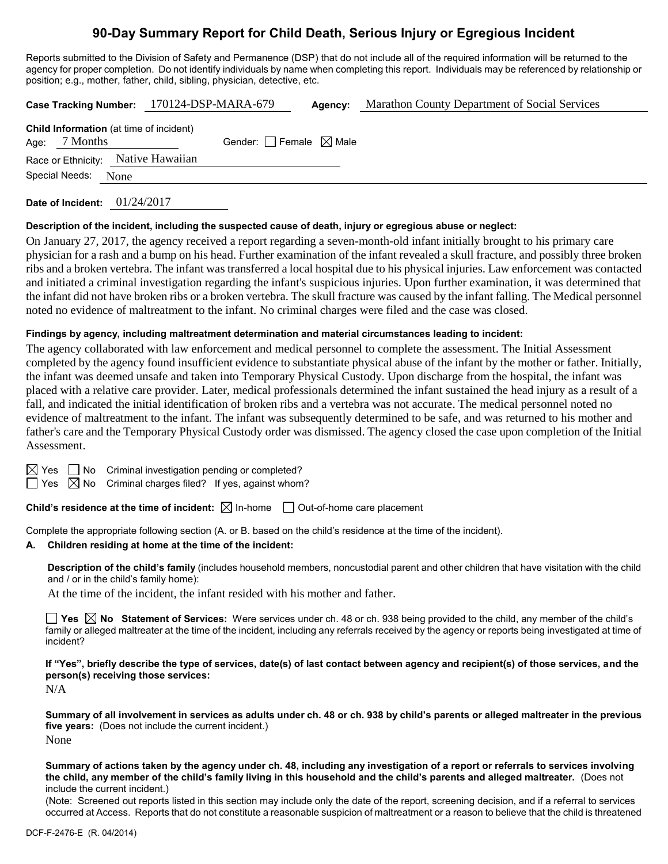# **90-Day Summary Report for Child Death, Serious Injury or Egregious Incident**

Reports submitted to the Division of Safety and Permanence (DSP) that do not include all of the required information will be returned to the agency for proper completion. Do not identify individuals by name when completing this report. Individuals may be referenced by relationship or position; e.g., mother, father, child, sibling, physician, detective, etc.

|                |                 | Case Tracking Number: 170124-DSP-MARA-679 |                                                | Agency:                         | <b>Marathon County Department of Social Services</b> |  |  |
|----------------|-----------------|-------------------------------------------|------------------------------------------------|---------------------------------|------------------------------------------------------|--|--|
|                | Age: $7$ Months |                                           | <b>Child Information</b> (at time of incident) | Gender: Female $\boxtimes$ Male |                                                      |  |  |
|                |                 |                                           | Race or Ethnicity: Native Hawaiian             |                                 |                                                      |  |  |
| Special Needs: |                 | None                                      |                                                |                                 |                                                      |  |  |
|                |                 |                                           |                                                |                                 |                                                      |  |  |

**Date of Incident:** 01/24/2017

#### **Description of the incident, including the suspected cause of death, injury or egregious abuse or neglect:**

On January 27, 2017, the agency received a report regarding a seven-month-old infant initially brought to his primary care physician for a rash and a bump on his head. Further examination of the infant revealed a skull fracture, and possibly three broken ribs and a broken vertebra. The infant was transferred a local hospital due to his physical injuries. Law enforcement was contacted and initiated a criminal investigation regarding the infant's suspicious injuries. Upon further examination, it was determined that the infant did not have broken ribs or a broken vertebra. The skull fracture was caused by the infant falling. The Medical personnel noted no evidence of maltreatment to the infant. No criminal charges were filed and the case was closed.

#### **Findings by agency, including maltreatment determination and material circumstances leading to incident:**

The agency collaborated with law enforcement and medical personnel to complete the assessment. The Initial Assessment completed by the agency found insufficient evidence to substantiate physical abuse of the infant by the mother or father. Initially, the infant was deemed unsafe and taken into Temporary Physical Custody. Upon discharge from the hospital, the infant was placed with a relative care provider. Later, medical professionals determined the infant sustained the head injury as a result of a fall, and indicated the initial identification of broken ribs and a vertebra was not accurate. The medical personnel noted no evidence of maltreatment to the infant. The infant was subsequently determined to be safe, and was returned to his mother and father's care and the Temporary Physical Custody order was dismissed. The agency closed the case upon completion of the Initial Assessment.

| ×<br>٧<br>۰. |
|--------------|
|              |

 $\Box$  No Criminal investigation pending or completed?

 $\Box$  Yes  $\boxtimes$  No Criminal charges filed? If yes, against whom?

**Child's residence at the time of incident:**  $\boxtimes$  In-home  $\Box$  Out-of-home care placement

Complete the appropriate following section (A. or B. based on the child's residence at the time of the incident).

#### **A. Children residing at home at the time of the incident:**

**Description of the child's family** (includes household members, noncustodial parent and other children that have visitation with the child and / or in the child's family home):

At the time of the incident, the infant resided with his mother and father.

■ Yes **No** Statement of Services: Were services under ch. 48 or ch. 938 being provided to the child, any member of the child's family or alleged maltreater at the time of the incident, including any referrals received by the agency or reports being investigated at time of incident?

**If "Yes", briefly describe the type of services, date(s) of last contact between agency and recipient(s) of those services, and the person(s) receiving those services:**

N/A

**Summary of all involvement in services as adults under ch. 48 or ch. 938 by child's parents or alleged maltreater in the previous five years:** (Does not include the current incident.) None

**Summary of actions taken by the agency under ch. 48, including any investigation of a report or referrals to services involving the child, any member of the child's family living in this household and the child's parents and alleged maltreater.** (Does not include the current incident.)

(Note: Screened out reports listed in this section may include only the date of the report, screening decision, and if a referral to services occurred at Access. Reports that do not constitute a reasonable suspicion of maltreatment or a reason to believe that the child is threatened